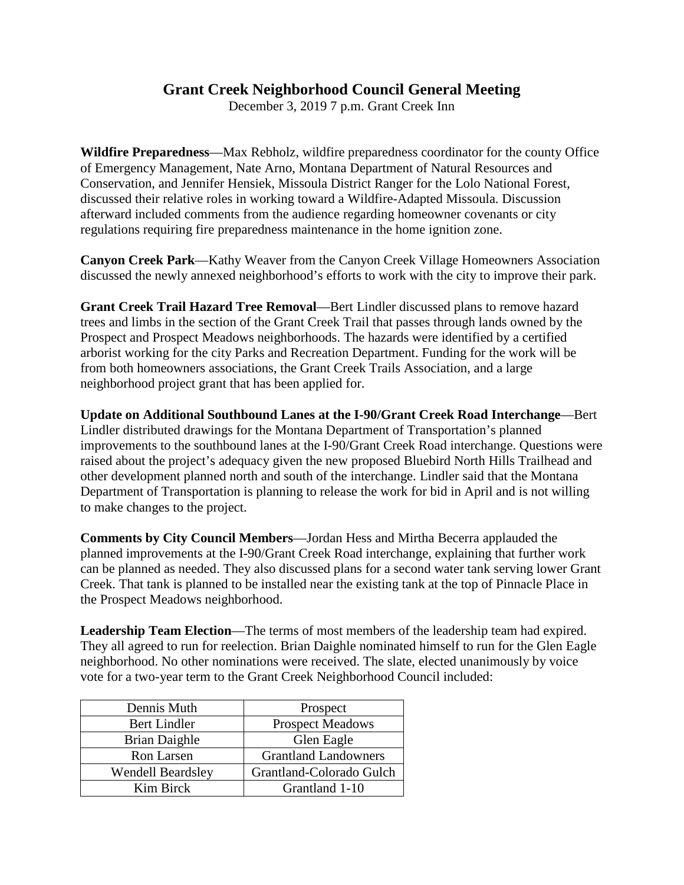## **Grant Creek Neighborhood Council General Meeting**

December 3, 2019 7 p.m. Grant Creek Inn

**Wildfire Preparedness**—Max Rebholz, wildfire preparedness coordinator for the county Office of Emergency Management, Nate Arno, Montana Department of Natural Resources and Conservation, and Jennifer Hensiek, Missoula District Ranger for the Lolo National Forest, discussed their relative roles in working toward a Wildfire-Adapted Missoula. Discussion afterward included comments from the audience regarding homeowner covenants or city regulations requiring fire preparedness maintenance in the home ignition zone.

**Canyon Creek Park**—Kathy Weaver from the Canyon Creek Village Homeowners Association discussed the newly annexed neighborhood's efforts to work with the city to improve their park.

**Grant Creek Trail Hazard Tree Removal**—Bert Lindler discussed plans to remove hazard trees and limbs in the section of the Grant Creek Trail that passes through lands owned by the Prospect and Prospect Meadows neighborhoods. The hazards were identified by a certified arborist working for the city Parks and Recreation Department. Funding for the work will be from both homeowners associations, the Grant Creek Trails Association, and a large neighborhood project grant that has been applied for.

**Update on Additional Southbound Lanes at the I-90/Grant Creek Road Interchange**—Bert Lindler distributed drawings for the Montana Department of Transportation's planned improvements to the southbound lanes at the I-90/Grant Creek Road interchange. Questions were raised about the project's adequacy given the new proposed Bluebird North Hills Trailhead and other development planned north and south of the interchange. Lindler said that the Montana Department of Transportation is planning to release the work for bid in April and is not willing to make changes to the project.

**Comments by City Council Members**—Jordan Hess and Mirtha Becerra applauded the planned improvements at the I-90/Grant Creek Road interchange, explaining that further work can be planned as needed. They also discussed plans for a second water tank serving lower Grant Creek. That tank is planned to be installed near the existing tank at the top of Pinnacle Place in the Prospect Meadows neighborhood.

**Leadership Team Election**—The terms of most members of the leadership team had expired. They all agreed to run for reelection. Brian Daighle nominated himself to run for the Glen Eagle neighborhood. No other nominations were received. The slate, elected unanimously by voice vote for a two-year term to the Grant Creek Neighborhood Council included:

| Dennis Muth              | Prospect                    |
|--------------------------|-----------------------------|
| <b>Bert Lindler</b>      | <b>Prospect Meadows</b>     |
| <b>Brian Daighle</b>     | Glen Eagle                  |
| Ron Larsen               | <b>Grantland Landowners</b> |
| <b>Wendell Beardsley</b> | Grantland-Colorado Gulch    |
| Kim Birck                | Grantland 1-10              |